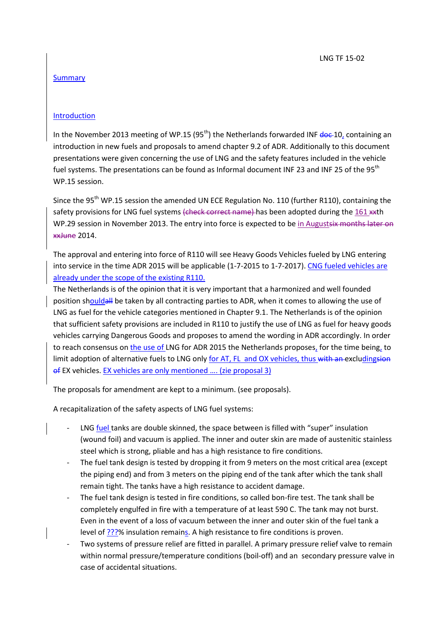## **Summary**

## Introduction

In the November 2013 meeting of WP.15 (95<sup>th</sup>) the Netherlands forwarded INF  $\frac{d}{d}$  (containing an introduction in new fuels and proposals to amend chapter 9.2 of ADR. Additionally to this document presentations were given concerning the use of LNG and the safety features included in the vehicle fuel systems. The presentations can be found as Informal document INF 23 and INF 25 of the 95<sup>th</sup> WP.15 session.

Since the 95<sup>th</sup> WP.15 session the amended UN ECE Regulation No. 110 (further R110), containing the safety provisions for LNG fuel systems (check correct name) has been adopted during the 161 \*\* th WP.29 session in November 2013. The entry into force is expected to be in Augustsix months later on xxJune 2014.

The approval and entering into force of R110 will see Heavy Goods Vehicles fueled by LNG entering into service in the time ADR 2015 will be applicable (1-7-2015 to 1-7-2017). CNG fueled vehicles are already under the scope of the existing R110.

The Netherlands is of the opinion that it is very important that a harmonized and well founded position shouldall be taken by all contracting parties to ADR, when it comes to allowing the use of LNG as fuel for the vehicle categories mentioned in Chapter 9.1. The Netherlands is of the opinion that sufficient safety provisions are included in R110 to justify the use of LNG as fuel for heavy goods vehicles carrying Dangerous Goods and proposes to amend the wording in ADR accordingly. In order to reach consensus on the use of LNG for ADR 2015 the Netherlands proposes, for the time being, to limit adoption of alternative fuels to LNG only for AT, FL and OX vehicles, thus with an excludingsion of EX vehicles. EX vehicles are only mentioned …. (zie proposal 3)

The proposals for amendment are kept to a minimum. (see proposals).

A recapitalization of the safety aspects of LNG fuel systems:

- LNG fuel tanks are double skinned, the space between is filled with "super" insulation (wound foil) and vacuum is applied. The inner and outer skin are made of austenitic stainless steel which is strong, pliable and has a high resistance to fire conditions.
- The fuel tank design is tested by dropping it from 9 meters on the most critical area (except the piping end) and from 3 meters on the piping end of the tank after which the tank shall remain tight. The tanks have a high resistance to accident damage.
- The fuel tank design is tested in fire conditions, so called bon-fire test. The tank shall be completely engulfed in fire with a temperature of at least 590 C. The tank may not burst. Even in the event of a loss of vacuum between the inner and outer skin of the fuel tank a level of ???% insulation remains. A high resistance to fire conditions is proven.
- Two systems of pressure relief are fitted in parallel. A primary pressure relief valve to remain within normal pressure/temperature conditions (boil-off) and an secondary pressure valve in case of accidental situations.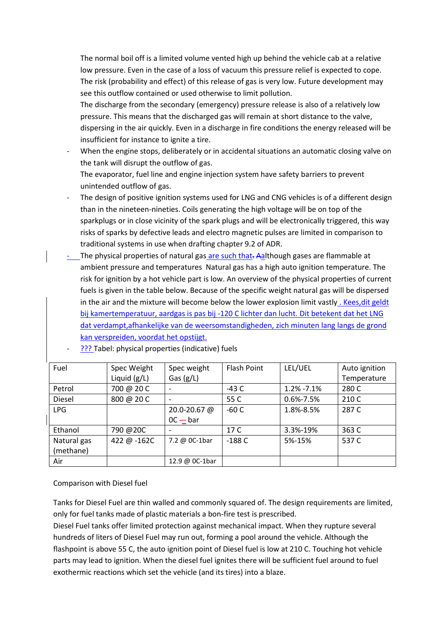The normal boil off is a limited volume vented high up behind the vehicle cab at a relative low pressure. Even in the case of a loss of vacuum this pressure relief is expected to cope. The risk (probability and effect) of this release of gas is very low. Future development may see this outflow contained or used otherwise to limit pollution.

The discharge from the secondary (emergency) pressure release is also of a relatively low pressure. This means that the discharged gas will remain at short distance to the valve, dispersing in the air quickly. Even in a discharge in fire conditions the energy released will be insufficient for instance to ignite a tire.

- When the engine stops, deliberately or in accidental situations an automatic closing valve on the tank will disrupt the outflow of gas. The evaporator, fuel line and engine injection system have safety barriers to prevent unintended outflow of gas.
- The design of positive ignition systems used for LNG and CNG vehicles is of a different design than in the nineteen-nineties. Coils generating the high voltage will be on top of the sparkplugs or in close vicinity of the spark plugs and will be electronically triggered, this way risks of sparks by defective leads and electro magnetic pulses are limited in comparison to traditional systems in use when drafting chapter 9.2 of ADR.
- The physical properties of natural gas are such that. Aalthough gases are flammable at ambient pressure and temperatures Natural gas has a high auto ignition temperature. The risk for ignition by a hot vehicle part is low. An overview of the physical properties of current fuels is given in the table below. Because of the specific weight natural gas will be dispersed in the air and the mixture will become below the lower explosion limit vastly. Kees, dit geldt bij kamertemperatuur, aardgas is pas bij -120 C lichter dan lucht. Dit betekent dat het LNG dat verdampt,afhankelijke van de weersomstandigheden, zich minuten lang langs de grond kan verspreiden, voordat het opstijgt.

| Fuel        | Spec Weight    | Spec weight    | Flash Point | LEL/UEL         | Auto ignition |
|-------------|----------------|----------------|-------------|-----------------|---------------|
|             | Liquid $(g/L)$ | Gas $(g/L)$    |             |                 | Temperature   |
| Petrol      | 700 @ 20 C     |                | $-43C$      | $1.2\% -7.1\%$  | 280 C         |
| Diesel      | 800 @ 20 C     |                | 55 C        | $0.6\% - 7.5\%$ | 210 C         |
| <b>LPG</b>  |                | 20.0-20.67 @   | $-60C$      | 1.8%-8.5%       | 287 C         |
|             |                | $OC - bar$     |             |                 |               |
| Ethanol     | 790 @20C       |                | 17 C        | 3.3%-19%        | 363 C         |
| Natural gas | 422 @ -162C    | 7.2 @ 0C-1bar  | $-188C$     | 5%-15%          | 537 C         |
| (methane)   |                |                |             |                 |               |
| Air         |                | 12.9 @ 0C-1bar |             |                 |               |

??? Tabel: physical properties (indicative) fuels

# Comparison with Diesel fuel

Tanks for Diesel Fuel are thin walled and commonly squared of. The design requirements are limited, only for fuel tanks made of plastic materials a bon-fire test is prescribed.

Diesel Fuel tanks offer limited protection against mechanical impact. When they rupture several hundreds of liters of Diesel Fuel may run out, forming a pool around the vehicle. Although the flashpoint is above 55 C, the auto ignition point of Diesel fuel is low at 210 C. Touching hot vehicle parts may lead to ignition. When the diesel fuel ignites there will be sufficient fuel around to fuel exothermic reactions which set the vehicle (and its tires) into a blaze.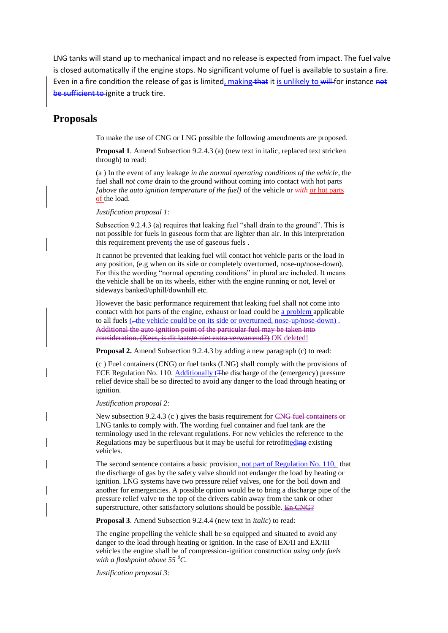LNG tanks will stand up to mechanical impact and no release is expected from impact. The fuel valve is closed automatically if the engine stops. No significant volume of fuel is available to sustain a fire. Even in a fire condition the release of gas is limited, making that it is unlikely to will for instance not be sufficient to ignite a truck tire.

# **Proposals**

To make the use of CNG or LNG possible the following amendments are proposed.

**Proposal 1**. Amend Subsection 9.2.4.3 (a) (new text in italic, replaced text stricken through) to read:

(a ) In the event of any leakage *in the normal operating conditions of the vehicle*, the fuel shall *not come* drain to the ground without coming into contact with hot parts *[above the auto ignition temperature of the fuel]* of the vehicle or *with* or hot parts of the load.

*Justification proposal 1:*

Subsection 9.2.4.3 (a) requires that leaking fuel "shall drain to the ground". This is not possible for fuels in gaseous form that are lighter than air. In this interpretation this requirement prevents the use of gaseous fuels.

It cannot be prevented that leaking fuel will contact hot vehicle parts or the load in any position, (e.g when on its side or completely overturned, nose-up/nose-down). For this the wording "normal operating conditions" in plural are included. It means the vehicle shall be on its wheels, either with the engine running or not, level or sideways banked/uphill/downhill etc.

However the basic performance requirement that leaking fuel shall not come into contact with hot parts of the engine, exhaust or load could be a problem applicable to all fuels (-the vehicle could be on its side or overturned, nose-up/nose-down). Additional the auto ignition point of the particular fuel may be taken into consideration. (Kees, is dit laatste niet extra verwarrend?) OK deleted!

**Proposal 2.** Amend Subsection 9.2.4.3 by adding a new paragraph (c) to read:

(c ) Fuel containers (CNG) or fuel tanks (LNG) shall comply with the provisions of ECE Regulation No. 110. Additionally t<sub>T</sub>he discharge of the (emergency) pressure relief device shall be so directed to avoid any danger to the load through heating or ignition.

*Justification proposal 2:*

New subsection 9.2.4.3 (c ) gives the basis requirement for CNG fuel containers or LNG tanks to comply with. The wording fuel container and fuel tank are the terminology used in the relevant regulations. For new vehicles the reference to the Regulations may be superfluous but it may be useful for retrofitteding existing vehicles.

The second sentence contains a basic provision, not part of Regulation No. 110, that the discharge of gas by the safety valve should not endanger the load by heating or ignition. LNG systems have two pressure relief valves, one for the boil down and another for emergencies. A possible option would be to bring a discharge pipe of the pressure relief valve to the top of the drivers cabin away from the tank or other superstructure, other satisfactory solutions should be possible. En CNG?

**Proposal 3**. Amend Subsection 9.2.4.4 (new text in *italic*) to read:

The engine propelling the vehicle shall be so equipped and situated to avoid any danger to the load through heating or ignition. In the case of EX/II and EX/III vehicles the engine shall be of compression-ignition construction *using only fuels with a flashpoint above 55 <sup>0</sup>C*.

*Justification proposal 3:*